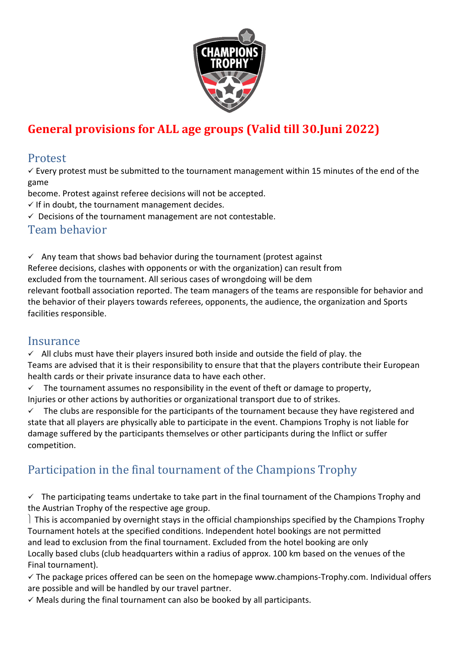

# **General provisions for ALL age groups (Valid till 30.Juni 2022)**

#### Protest

 $\checkmark$  Every protest must be submitted to the tournament management within 15 minutes of the end of the game

become. Protest against referee decisions will not be accepted.

 $\checkmark$  If in doubt, the tournament management decides.

 $\checkmark$  Decisions of the tournament management are not contestable.

#### Team behavior

 $\checkmark$  Any team that shows bad behavior during the tournament (protest against Referee decisions, clashes with opponents or with the organization) can result from excluded from the tournament. All serious cases of wrongdoing will be dem relevant football association reported. The team managers of the teams are responsible for behavior and the behavior of their players towards referees, opponents, the audience, the organization and Sports facilities responsible.

#### **Insurance**

 $\checkmark$  All clubs must have their players insured both inside and outside the field of play. the Teams are advised that it is their responsibility to ensure that that the players contribute their European health cards or their private insurance data to have each other.

 $\checkmark$  The tournament assumes no responsibility in the event of theft or damage to property, Injuries or other actions by authorities or organizational transport due to of strikes.

 $\checkmark$  The clubs are responsible for the participants of the tournament because they have registered and state that all players are physically able to participate in the event. Champions Trophy is not liable for damage suffered by the participants themselves or other participants during the Inflict or suffer competition.

# Participation in the final tournament of the Champions Trophy

 $\checkmark$  The participating teams undertake to take part in the final tournament of the Champions Trophy and the Austrian Trophy of the respective age group.

This is accompanied by overnight stays in the official championships specified by the Champions Trophy Tournament hotels at the specified conditions. Independent hotel bookings are not permitted and lead to exclusion from the final tournament. Excluded from the hotel booking are only Locally based clubs (club headquarters within a radius of approx. 100 km based on the venues of the Final tournament).

 $\checkmark$  The package prices offered can be seen on the homepage www.champions-Trophy.com. Individual offers are possible and will be handled by our travel partner.

 $\checkmark$  Meals during the final tournament can also be booked by all participants.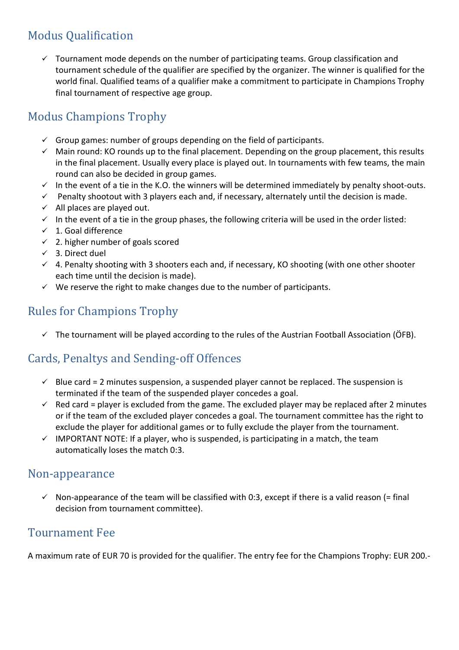# Modus Qualification

 $\checkmark$  Tournament mode depends on the number of participating teams. Group classification and tournament schedule of the qualifier are specified by the organizer. The winner is qualified for the world final. Qualified teams of a qualifier make a commitment to participate in Champions Trophy final tournament of respective age group.

# Modus Champions Trophy

- $\checkmark$  Group games: number of groups depending on the field of participants.
- $\checkmark$  Main round: KO rounds up to the final placement. Depending on the group placement, this results in the final placement. Usually every place is played out. In tournaments with few teams, the main round can also be decided in group games.
- $\checkmark$  In the event of a tie in the K.O. the winners will be determined immediately by penalty shoot-outs.
- $\checkmark$  Penalty shootout with 3 players each and, if necessary, alternately until the decision is made.
- $\checkmark$  All places are played out.
- $\checkmark$  In the event of a tie in the group phases, the following criteria will be used in the order listed:
- $\checkmark$  1. Goal difference
- $\checkmark$  2. higher number of goals scored
- $\checkmark$  3. Direct duel
- $\checkmark$  4. Penalty shooting with 3 shooters each and, if necessary, KO shooting (with one other shooter each time until the decision is made).
- $\checkmark$  We reserve the right to make changes due to the number of participants.

### Rules for Champions Trophy

 $\checkmark$  The tournament will be played according to the rules of the Austrian Football Association (ÖFB).

## Cards, Penaltys and Sending-off Offences

- $\checkmark$  Blue card = 2 minutes suspension, a suspended player cannot be replaced. The suspension is terminated if the team of the suspended player concedes a goal.
- $\checkmark$  Red card = player is excluded from the game. The excluded player may be replaced after 2 minutes or if the team of the excluded player concedes a goal. The tournament committee has the right to exclude the player for additional games or to fully exclude the player from the tournament.
- $\checkmark$  IMPORTANT NOTE: If a player, who is suspended, is participating in a match, the team automatically loses the match 0:3.

#### Non-appearance

 $\checkmark$  Non-appearance of the team will be classified with 0:3, except if there is a valid reason (= final decision from tournament committee).

#### Tournament Fee

A maximum rate of EUR 70 is provided for the qualifier. The entry fee for the Champions Trophy: EUR 200.-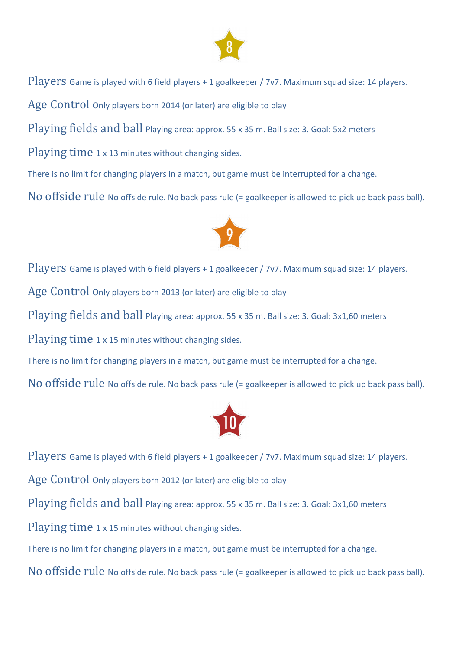

Players Game is played with 6 field players + 1 goalkeeper / 7v7. Maximum squad size: 14 players.

Age Control Only players born 2014 (or later) are eligible to play

Playing fields and ball Playing area: approx. 55 x 35 m. Ball size: 3. Goal: 5x2 meters

Playing time 1 x 13 minutes without changing sides.

There is no limit for changing players in a match, but game must be interrupted for a change.

No offside rule No offside rule. No back pass rule (= goalkeeper is allowed to pick up back pass ball).



Players Game is played with 6 field players + 1 goalkeeper / 7v7. Maximum squad size: 14 players. Age Control Only players born 2013 (or later) are eligible to play Playing fields and ball Playing area: approx. 55 x 35 m. Ball size: 3. Goal: 3x1,60 meters Playing time 1 x 15 minutes without changing sides. There is no limit for changing players in a match, but game must be interrupted for a change. No offside rule No offside rule. No back pass rule (= goalkeeper is allowed to pick up back pass ball).



Players Game is played with 6 field players + 1 goalkeeper / 7v7. Maximum squad size: 14 players.

Age Control Only players born 2012 (or later) are eligible to play

Playing fields and ball Playing area: approx. 55 x 35 m. Ball size: 3. Goal: 3x1,60 meters

Playing time 1 x 15 minutes without changing sides.

There is no limit for changing players in a match, but game must be interrupted for a change.

No offside rule No offside rule. No back pass rule (= goalkeeper is allowed to pick up back pass ball).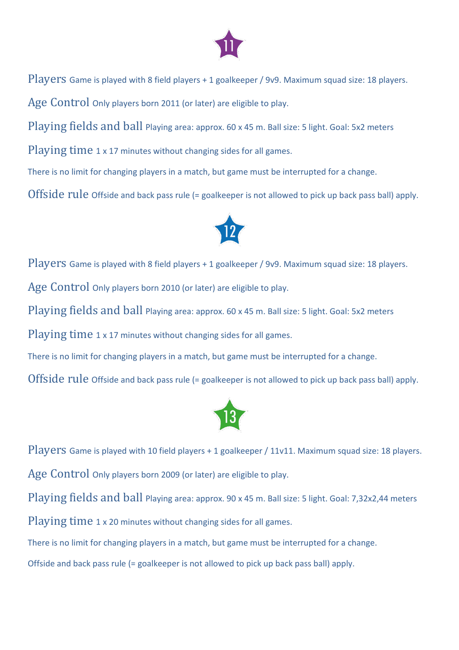

Players Game is played with 8 field players + 1 goalkeeper / 9v9. Maximum squad size: 18 players.

Age Control Only players born 2011 (or later) are eligible to play.

Playing fields and ball Playing area: approx. 60 x 45 m. Ball size: 5 light. Goal: 5x2 meters

Playing time 1 x 17 minutes without changing sides for all games.

There is no limit for changing players in a match, but game must be interrupted for a change.

Offside rule Offside and back pass rule (= goalkeeper is not allowed to pick up back pass ball) apply.



Players Game is played with 8 field players + 1 goalkeeper / 9v9. Maximum squad size: 18 players.

Age Control Only players born 2010 (or later) are eligible to play.

Playing fields and ball Playing area: approx. 60 x 45 m. Ball size: 5 light. Goal: 5x2 meters

Playing time 1 x 17 minutes without changing sides for all games.

There is no limit for changing players in a match, but game must be interrupted for a change.

Offside rule Offside and back pass rule (= goalkeeper is not allowed to pick up back pass ball) apply.



Players Game is played with 10 field players + 1 goalkeeper / 11v11. Maximum squad size: 18 players.

Age Control Only players born 2009 (or later) are eligible to play.

Playing fields and ball Playing area: approx. 90 x 45 m. Ball size: 5 light. Goal: 7,32x2,44 meters

Playing time 1 x 20 minutes without changing sides for all games.

There is no limit for changing players in a match, but game must be interrupted for a change.

Offside and back pass rule (= goalkeeper is not allowed to pick up back pass ball) apply.